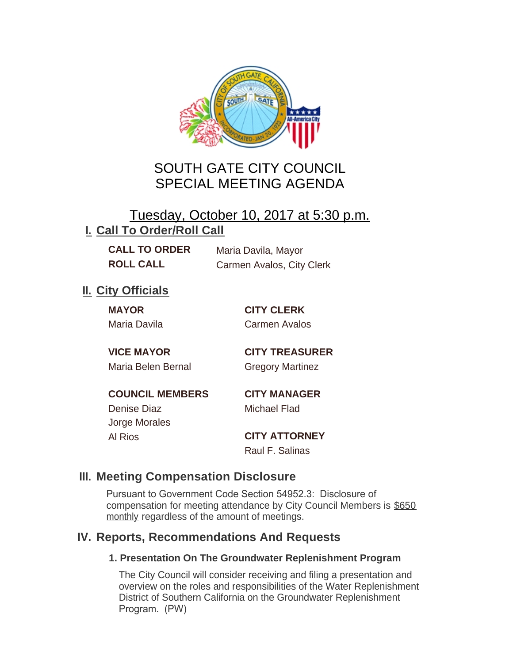

# SOUTH GATE CITY COUNCIL SPECIAL MEETING AGENDA

## Tuesday, October 10, 2017 at 5:30 p.m. **I. Call To Order/Roll Call**

**CALL TO ORDER** Maria Davila, Mayor **ROLL CALL** Carmen Avalos, City Clerk

**II.** City Officials

**MAYOR CITY CLERK** Maria Davila Carmen Avalos

**VICE MAYOR CITY TREASURER** Maria Belen Bernal Gregory Martinez

**COUNCIL MEMBERS CITY MANAGER** Denise Diaz Michael Flad Jorge Morales Al Rios **CITY ATTORNEY**

Raul F. Salinas

### **Meeting Compensation Disclosure III.**

Pursuant to Government Code Section 54952.3: Disclosure of compensation for meeting attendance by City Council Members is \$650 monthly regardless of the amount of meetings.

## **Reports, Recommendations And Requests IV.**

#### **1. Presentation On The Groundwater Replenishment Program**

The City Council will consider receiving and filing a presentation and overview on the roles and responsibilities of the Water Replenishment District of Southern California on the Groundwater Replenishment Program. (PW)